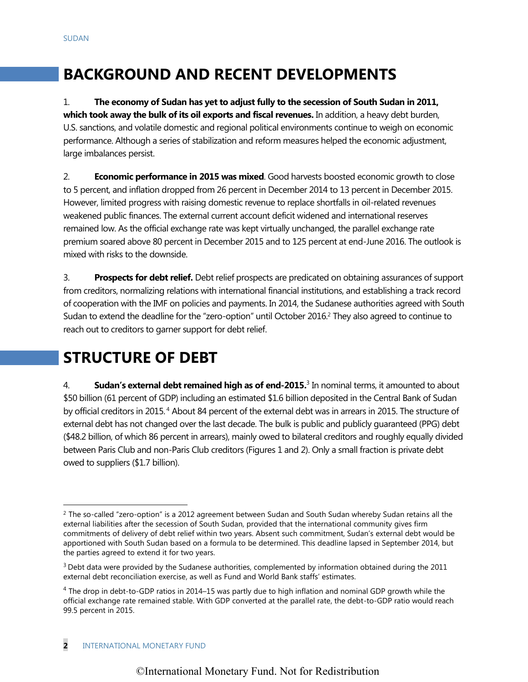# **BACKGROUND AND RECENT DEVELOPMENTS**

1. **The economy of Sudan has yet to adjust fully to the secession of South Sudan in 2011, which took away the bulk of its oil exports and fiscal revenues.** In addition, a heavy debt burden, U.S. sanctions, and volatile domestic and regional political environments continue to weigh on economic performance. Although a series of stabilization and reform measures helped the economic adjustment, large imbalances persist.

2. **Economic performance in 2015 was mixed**. Good harvests boosted economic growth to close to 5 percent, and inflation dropped from 26 percent in December 2014 to 13 percent in December 2015. However, limited progress with raising domestic revenue to replace shortfalls in oil-related revenues weakened public finances. The external current account deficit widened and international reserves remained low. As the official exchange rate was kept virtually unchanged, the parallel exchange rate premium soared above 80 percent in December 2015 and to 125 percent at end-June 2016. The outlook is mixed with risks to the downside.

3. **Prospects for debt relief.** Debt relief prospects are predicated on obtaining assurances of support from creditors, normalizing relations with international financial institutions, and establishing a track record of cooperation with the IMF on policies and payments. In 2014, the Sudanese authorities agreed with South Sudan to extend the deadline for the "zero-option" until October 2016.<sup>2</sup> They also agreed to continue to reach out to creditors to garner support for debt relief.

# **STRUCTURE OF DEBT**

4. **Sudan's external debt remained high as of end-2015.**<sup>3</sup> In nominal terms, it amounted to about \$50 billion (61 percent of GDP) including an estimated \$1.6 billion deposited in the Central Bank of Sudan by official creditors in 2015. <sup>4</sup> About 84 percent of the external debt was in arrears in 2015. The structure of external debt has not changed over the last decade. The bulk is public and publicly guaranteed (PPG) debt (\$48.2 billion, of which 86 percent in arrears), mainly owed to bilateral creditors and roughly equally divided between Paris Club and non-Paris Club creditors (Figures 1 and 2). Only a small fraction is private debt owed to suppliers (\$1.7 billion).

 $\overline{a}$ 

<sup>&</sup>lt;sup>2</sup> The so-called "zero-option" is a 2012 agreement between Sudan and South Sudan whereby Sudan retains all the external liabilities after the secession of South Sudan, provided that the international community gives firm commitments of delivery of debt relief within two years. Absent such commitment, Sudan's external debt would be apportioned with South Sudan based on a formula to be determined. This deadline lapsed in September 2014, but the parties agreed to extend it for two years.

 $3$  Debt data were provided by the Sudanese authorities, complemented by information obtained during the 2011 external debt reconciliation exercise, as well as Fund and World Bank staffs' estimates.

 $4$  The drop in debt-to-GDP ratios in 2014–15 was partly due to high inflation and nominal GDP growth while the official exchange rate remained stable. With GDP converted at the parallel rate, the debt-to-GDP ratio would reach 99.5 percent in 2015.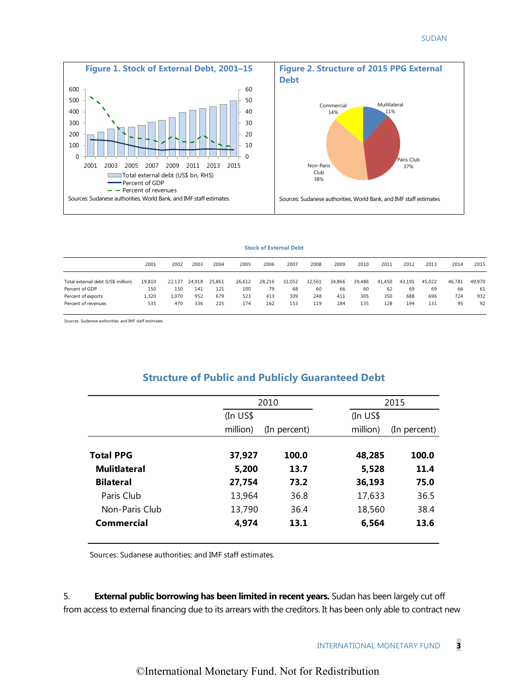

#### **Stock of External Debt**

|                                    |        |        |        |        |        |        | <b>Stock of External Debt</b> |        |        |        |        |        |        |        |        |
|------------------------------------|--------|--------|--------|--------|--------|--------|-------------------------------|--------|--------|--------|--------|--------|--------|--------|--------|
|                                    | 2001   | 2002   | 2003   | 2004   | 2005   | 2006   | 2007                          | 2008   | 2009   | 2010   | 2011   | 2012   | 2013   | 2014   | 2015   |
| Total external debt (US\$ million) | 19,810 | 22,137 | 24,918 | 25,861 | 26,612 | 28,216 | 31,052                        | 32,561 | 34,866 | 39,486 | 41,450 | 43,191 | 45,022 | 46.781 | 49,970 |
| Percent of GDP                     | 150    | 150    | 141    | 121    | 100    | 79     | 68                            | 60     | 66     | 60     | 62     | 69     | 69     | 66     | 61     |
| Percent of exports                 | 1,320  | 1,070  | 952    | 679    | 523    | 413    | 309                           | 248    | 411    | 305    | 350    | 688    | 696    | 724    | 932    |
| Percent of revenues                | 535    | 470    | 336    | 225    | 174    | 162    | 153                           | 119    | 184    | 135    | 128    | 194    | 131    | 95     | 92     |

Sources: Sudanese authorities; and IMF staff estimates.

### **Structure of Public and Publicly Guaranteed Debt**

|                     |            | 2010         |            | 2015         |
|---------------------|------------|--------------|------------|--------------|
|                     | $(In US$)$ |              | $(In US$)$ |              |
|                     | million)   | (In percent) | million)   | (In percent) |
|                     |            |              |            |              |
| <b>Total PPG</b>    | 37,927     | 100.0        | 48,285     | 100.0        |
| <b>Mulitlateral</b> | 5,200      | 13.7         | 5,528      | 11.4         |
| <b>Bilateral</b>    | 27,754     | 73.2         | 36,193     | 75.0         |
| Paris Club          | 13,964     | 36.8         | 17,633     | 36.5         |
| Non-Paris Club      | 13,790     | 36.4         | 18,560     | 38.4         |
| Commercial          | 4,974      | 13.1         | 6,564      | 13.6         |

Sources: Sudanese authorities; and IMF staff estimates.

5. **External public borrowing has been limited in recent years.** Sudan has been largely cut off from access to external financing due to its arrears with the creditors. It has been only able to contract new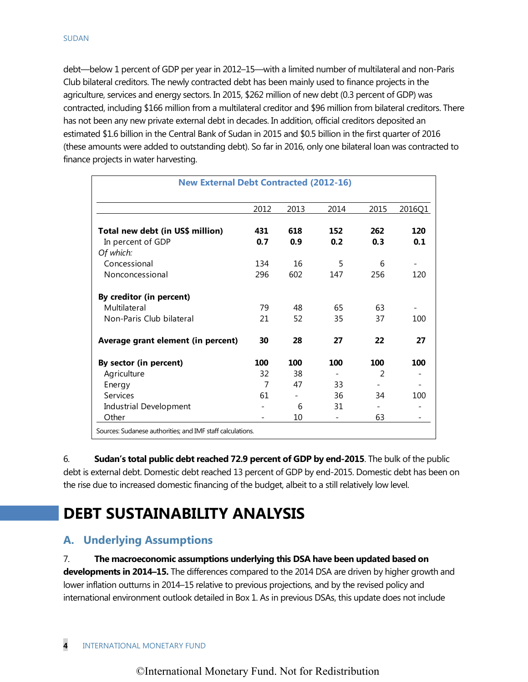debt—below 1 percent of GDP per year in 2012–15—with a limited number of multilateral and non-Paris Club bilateral creditors. The newly contracted debt has been mainly used to finance projects in the agriculture, services and energy sectors. In 2015, \$262 million of new debt (0.3 percent of GDP) was contracted, including \$166 million from a multilateral creditor and \$96 million from bilateral creditors. There has not been any new private external debt in decades. In addition, official creditors deposited an estimated \$1.6 billion in the Central Bank of Sudan in 2015 and \$0.5 billion in the first quarter of 2016 (these amounts were added to outstanding debt). So far in 2016, only one bilateral loan was contracted to finance projects in water harvesting.

| <b>New External Debt Contracted (2012-16)</b>              |                |                |                          |                |            |
|------------------------------------------------------------|----------------|----------------|--------------------------|----------------|------------|
|                                                            | 2012           | 2013           | 2014                     | 2015           | 2016Q1     |
| Total new debt (in US\$ million)<br>In percent of GDP      | 431<br>0.7     | 618<br>0.9     | 152<br>0.2               | 262<br>0.3     | 120<br>0.1 |
| Of which:                                                  |                |                |                          |                |            |
| Concessional                                               | 134            | 16             | 5                        | 6              |            |
| Nonconcessional                                            | 296            | 602            | 147                      | 256            | 120        |
| By creditor (in percent)                                   |                |                |                          |                |            |
| Multilateral                                               | 79             | 48             | 65                       | 63             |            |
| Non-Paris Club bilateral                                   | 21             | 52             | 35                       | 37             | 100        |
| Average grant element (in percent)                         | 30             | 28             | 27                       | 22             | 27         |
| By sector (in percent)                                     | 100            | 100            | 100                      | 100            | 100        |
| Agriculture                                                | 32             | 38             | $\overline{\phantom{0}}$ | $\mathfrak{D}$ |            |
| Energy                                                     | $\overline{7}$ | 47             | 33                       |                |            |
| Services                                                   | 61             | $\overline{a}$ | 36                       | 34             | 100        |
| <b>Industrial Development</b>                              |                | 6              | 31                       |                |            |
| Other                                                      |                | 10             |                          | 63             |            |
| Sources: Sudanese authorities; and IMF staff calculations. |                |                |                          |                |            |

6. **Sudan's total public debt reached 72.9 percent of GDP by end-2015**. The bulk of the public debt is external debt. Domestic debt reached 13 percent of GDP by end-2015. Domestic debt has been on the rise due to increased domestic financing of the budget, albeit to a still relatively low level.

# **DEBT SUSTAINABILITY ANALYSIS**

## **A. Underlying Assumptions**

7. **The macroeconomic assumptions underlying this DSA have been updated based on developments in 2014–15.** The differences compared to the 2014 DSA are driven by higher growth and lower inflation outturns in 2014–15 relative to previous projections, and by the revised policy and international environment outlook detailed in Box 1. As in previous DSAs, this update does not include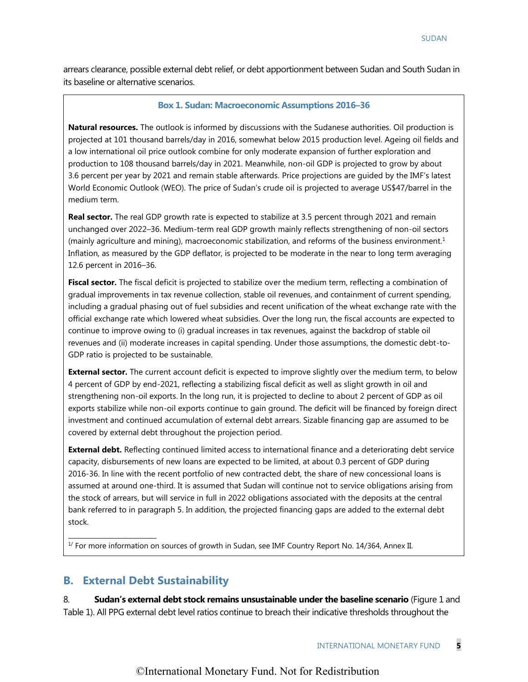arrears clearance, possible external debt relief, or debt apportionment between Sudan and South Sudan in its baseline or alternative scenarios.

#### **Box 1. Sudan: Macroeconomic Assumptions 2016–36**

**Natural resources.** The outlook is informed by discussions with the Sudanese authorities. Oil production is projected at 101 thousand barrels/day in 2016, somewhat below 2015 production level. Ageing oil fields and a low international oil price outlook combine for only moderate expansion of further exploration and production to 108 thousand barrels/day in 2021. Meanwhile, non-oil GDP is projected to grow by about 3.6 percent per year by 2021 and remain stable afterwards. Price projections are guided by the IMF's latest World Economic Outlook (WEO). The price of Sudan's crude oil is projected to average US\$47/barrel in the medium term.

**Real sector.** The real GDP growth rate is expected to stabilize at 3.5 percent through 2021 and remain unchanged over 2022–36. Medium-term real GDP growth mainly reflects strengthening of non-oil sectors (mainly agriculture and mining), macroeconomic stabilization, and reforms of the business environment. $1$ Inflation, as measured by the GDP deflator, is projected to be moderate in the near to long term averaging 12.6 percent in 2016–36.

**Fiscal sector.** The fiscal deficit is projected to stabilize over the medium term, reflecting a combination of gradual improvements in tax revenue collection, stable oil revenues, and containment of current spending, including a gradual phasing out of fuel subsidies and recent unification of the wheat exchange rate with the official exchange rate which lowered wheat subsidies. Over the long run, the fiscal accounts are expected to continue to improve owing to (i) gradual increases in tax revenues, against the backdrop of stable oil revenues and (ii) moderate increases in capital spending. Under those assumptions, the domestic debt-to-GDP ratio is projected to be sustainable.

**External sector.** The current account deficit is expected to improve slightly over the medium term, to below 4 percent of GDP by end-2021, reflecting a stabilizing fiscal deficit as well as slight growth in oil and strengthening non-oil exports. In the long run, it is projected to decline to about 2 percent of GDP as oil exports stabilize while non-oil exports continue to gain ground. The deficit will be financed by foreign direct investment and continued accumulation of external debt arrears. Sizable financing gap are assumed to be covered by external debt throughout the projection period.

**External debt.** Reflecting continued limited access to international finance and a deteriorating debt service capacity, disbursements of new loans are expected to be limited, at about 0.3 percent of GDP during 2016-36. In line with the recent portfolio of new contracted debt, the share of new concessional loans is assumed at around one-third. It is assumed that Sudan will continue not to service obligations arising from the stock of arrears, but will service in full in 2022 obligations associated with the deposits at the central bank referred to in paragraph 5. In addition, the projected financing gaps are added to the external debt stock.

<sup>1/</sup> For more information on sources of growth in Sudan, see IMF Country Report No. 14/364, Annex II.

### **B. External Debt Sustainability**

\_\_\_\_\_\_\_\_\_\_\_\_\_\_\_\_\_\_\_\_\_\_\_\_\_\_

8. **Sudan's external debt stock remains unsustainable under the baseline scenario** (Figure 1 and Table 1). All PPG external debt level ratios continue to breach their indicative thresholds throughout the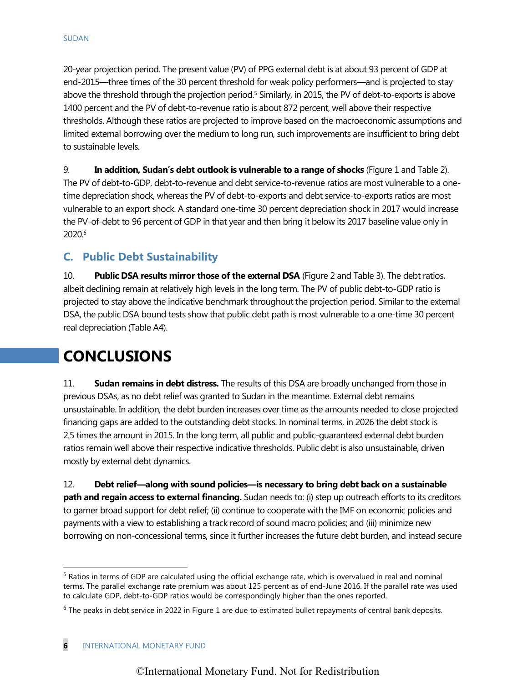20-year projection period. The present value (PV) of PPG external debt is at about 93 percent of GDP at end-2015—three times of the 30 percent threshold for weak policy performers—and is projected to stay above the threshold through the projection period. <sup>5</sup> Similarly, in 2015, the PV of debt-to-exports is above 1400 percent and the PV of debt-to-revenue ratio is about 872 percent, well above their respective thresholds. Although these ratios are projected to improve based on the macroeconomic assumptions and limited external borrowing over the medium to long run, such improvements are insufficient to bring debt to sustainable levels.

9. **In addition, Sudan's debt outlook is vulnerable to a range of shocks** (Figure 1 and Table 2). The PV of debt-to-GDP, debt-to-revenue and debt service-to-revenue ratios are most vulnerable to a onetime depreciation shock, whereas the PV of debt-to-exports and debt service-to-exports ratios are most vulnerable to an export shock. A standard one-time 30 percent depreciation shock in 2017 would increase the PV-of-debt to 96 percent of GDP in that year and then bring it below its 2017 baseline value only in 2020. 6

### **C. Public Debt Sustainability**

10. **Public DSA results mirror those of the external DSA** (Figure 2 and Table 3). The debt ratios, albeit declining remain at relatively high levels in the long term. The PV of public debt-to-GDP ratio is projected to stay above the indicative benchmark throughout the projection period. Similar to the external DSA, the public DSA bound tests show that public debt path is most vulnerable to a one-time 30 percent real depreciation (Table A4).

# **CONCLUSIONS**

11. **Sudan remains in debt distress.** The results of this DSA are broadly unchanged from those in previous DSAs, as no debt relief was granted to Sudan in the meantime. External debt remains unsustainable. In addition, the debt burden increases over time as the amounts needed to close projected financing gaps are added to the outstanding debt stocks. In nominal terms, in 2026 the debt stock is 2.5 times the amount in 2015. In the long term, all public and public-guaranteed external debt burden ratios remain well above their respective indicative thresholds. Public debt is also unsustainable, driven mostly by external debt dynamics.

12. **Debt relief—along with sound policies—is necessary to bring debt back on a sustainable path and regain access to external financing.** Sudan needs to: (i) step up outreach efforts to its creditors to garner broad support for debt relief; (ii) continue to cooperate with the IMF on economic policies and payments with a view to establishing a track record of sound macro policies; and (iii) minimize new borrowing on non-concessional terms, since it further increases the future debt burden, and instead secure

 $\overline{a}$ 

<sup>&</sup>lt;sup>5</sup> Ratios in terms of GDP are calculated using the official exchange rate, which is overvalued in real and nominal terms. The parallel exchange rate premium was about 125 percent as of end-June 2016. If the parallel rate was used to calculate GDP, debt-to-GDP ratios would be correspondingly higher than the ones reported.

 $6$  The peaks in debt service in 2022 in Figure 1 are due to estimated bullet repayments of central bank deposits.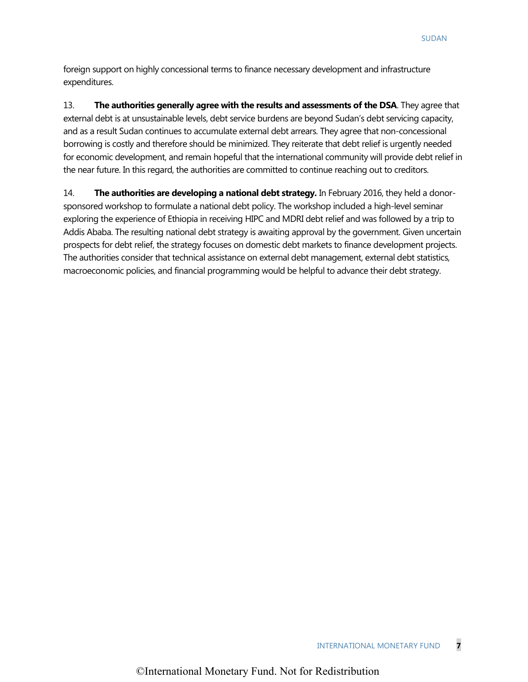foreign support on highly concessional terms to finance necessary development and infrastructure expenditures.

13. **The authorities generally agree with the results and assessments of the DSA**. They agree that external debt is at unsustainable levels, debt service burdens are beyond Sudan's debt servicing capacity, and as a result Sudan continues to accumulate external debt arrears. They agree that non-concessional borrowing is costly and therefore should be minimized. They reiterate that debt relief is urgently needed for economic development, and remain hopeful that the international community will provide debt relief in the near future. In this regard, the authorities are committed to continue reaching out to creditors.

14. **The authorities are developing a national debt strategy.** In February 2016, they held a donorsponsored workshop to formulate a national debt policy. The workshop included a high-level seminar exploring the experience of Ethiopia in receiving HIPC and MDRI debt relief and was followed by a trip to Addis Ababa. The resulting national debt strategy is awaiting approval by the government. Given uncertain prospects for debt relief, the strategy focuses on domestic debt markets to finance development projects. The authorities consider that technical assistance on external debt management, external debt statistics, macroeconomic policies, and financial programming would be helpful to advance their debt strategy.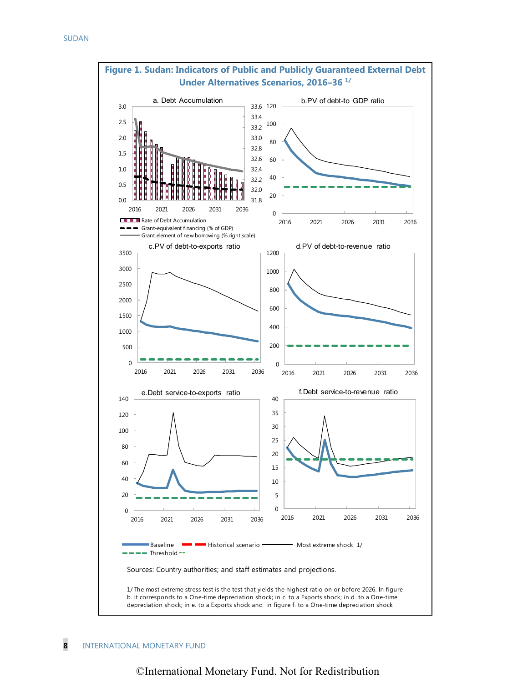

# **Figure 1. Sudan: Indicators of Public and Publicly Guaranteed External Debt**

#### **8** INTERNATIONAL MONETARY FUND

### ©International Monetary Fund. Not for Redistribution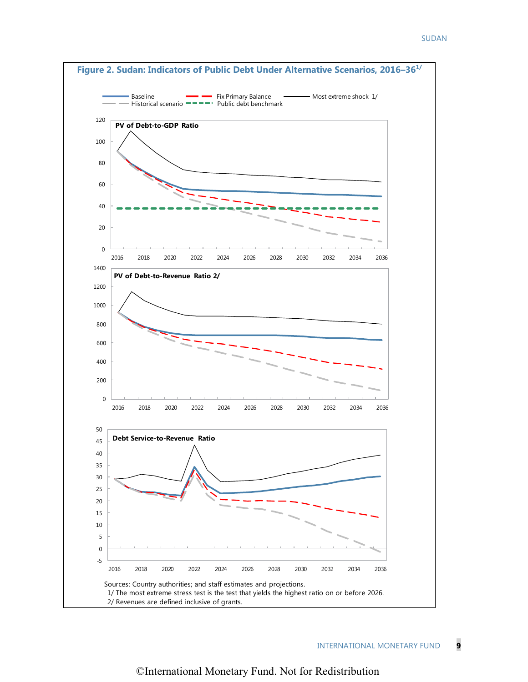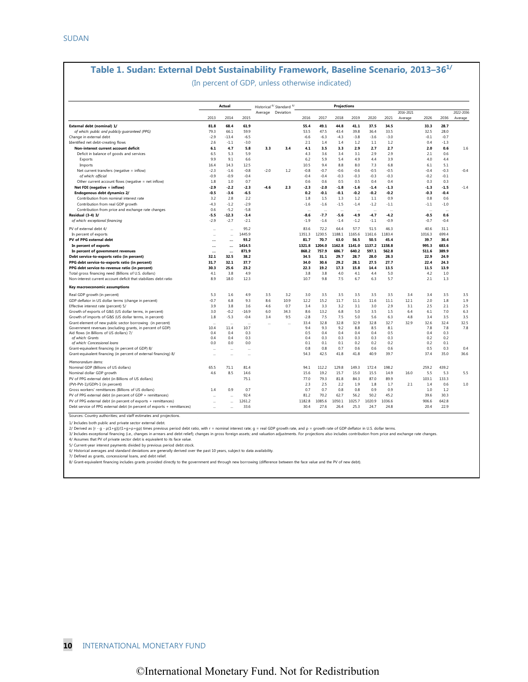### **Table 1. Sudan: External Debt Sustainability Framework, Baseline Scenario, 2013–361/**

(In percent of GDP, unless otherwise indicated)

|                                                                         |                      | Actual               |           |        | Historical 6/ Standard 6/ |          |          | Projections |           |          |           |           |          |          |           |
|-------------------------------------------------------------------------|----------------------|----------------------|-----------|--------|---------------------------|----------|----------|-------------|-----------|----------|-----------|-----------|----------|----------|-----------|
|                                                                         |                      |                      |           |        | Average Deviation         |          |          |             |           |          |           | 2016-2021 |          |          | 2022-2036 |
|                                                                         | 2013                 | 2014                 | 2015      |        |                           | 2016     | 2017     | 2018        | 2019      | 2020     | 2021      | Average   | 2026     | 2036     | Average   |
| External debt (nominal) 1/                                              | 81.8                 | 68.4                 | 61.9      |        |                           | 55.4     | 49.1     | 44.8        | 41.1      | 37.5     | 34.5      |           | 33.3     | 28.7     |           |
| of which: public and publicly guaranteed (PPG)                          | 79.3                 | 66.1                 | 59.9      |        |                           | 53.5     | 47.5     | 43.4        | 39.8      | 36.4     | 33.5      |           | 32.5     | 28.0     |           |
| Change in external debt                                                 | $-2.9$               | $-13.4$              | $-6.5$    |        |                           | $-6.6$   | $-6.3$   | $-4.3$      | $-3.8$    | $-3.6$   | $-3.0$    |           | $-0.1$   | $-0.7$   |           |
| Identified net debt-creating flows                                      | 2.6                  | $-1.1$               | $-3.0$    |        |                           | 2.1      | 1.4      | 1.4         | 1.2       | 1.1      | 1.2       |           | 0.4      | $-1.3$   |           |
| Non-interest current account deficit                                    | 6.1                  | 4.7                  | 5.8       | 3.3    | 3.4                       | 4.1      | 3.5      | 3.3         | 2.9       | 2.7      | 2.7       |           | 2.0      | 0.6      | 1.6       |
| Deficit in balance of goods and services                                | 6.5                  | 5.3                  | 5.9       |        |                           | 4.3      | 3.6      | 3.4         | 3.1       | 2.9      | 2.9       |           | 2.1      | 0.6      |           |
| Exports                                                                 | 9.9                  | 9.1                  | 6.6       |        |                           | 6.2      | 5.9      | 5.4         | 4.9       | 4.4      | 3.9       |           | 4.0      | 4.4      |           |
| Imports                                                                 | 16.4                 | 14.3                 | 12.5      |        |                           | 10.5     | 9.4      | 8.8         | 8.0       | 7.3      | 6.8       |           | 6.1      | 5.1      |           |
| Net current transfers (negative = inflow)                               | $-2.3$               | $-1.6$               | $-0.8$    | $-2.0$ | 1.2                       | $-0.8$   | $-0.7$   | $-0.6$      | $-0.6$    | $-0.5$   | $-0.5$    |           | $-0.4$   | $-0.3$   | $-0.4$    |
| of which: official                                                      | $-0.9$               | $-0.9$               | $-0.4$    |        |                           | $-0.4$   | $-0.4$   | $-0.3$      | $-0.3$    | $-0.3$   | $-0.3$    |           | $-0.2$   | $-0.1$   |           |
| Other current account flows (negative = net inflow)                     | 1.8                  | 1.0                  | 0.7       |        |                           | $0.6\,$  | 0.6      | 0.5         | 0.5       | 0.4      | 0.4       |           | 0.3      | 0.3      |           |
| Net FDI (negative = inflow)                                             | $-2.9$               | $-2.2$               | $-2.3$    | $-4.6$ | 2.3                       | $-2.3$   | $-2.0$   | $-1.8$      | $-1.6$    | $-1.4$   | $-1.3$    |           | $-1.3$   | $-1.5$   | $-1.4$    |
| Endogenous debt dynamics 2/                                             | $-0.5$               | $-3.6$               | $-6.5$    |        |                           | 0.2      | $-0.1$   | $-0.1$      | $-0.2$    | $-0.2$   | $-0.2$    |           | $-0.3$   | $-0.4$   |           |
| Contribution from nominal interest rate                                 | 3.2                  | 2.8                  | 2.2       |        |                           | 1.8      | 1.5      | 1.3         | 1.2       | $1.1\,$  | 0.9       |           | 0.8      | 0.6      |           |
| Contribution from real GDP growth                                       | $-4.3$               | $-1.2$               | $-2.9$    |        |                           | $-1.6$   | $-1.6$   | $-1.5$      | $-1.4$    | $-1.2$   | $-1.1$    |           | $-1.1$   | $-1.0$   |           |
| Contribution from price and exchange rate changes                       | 0.6                  | $-5.2$               | $-5.8$    |        |                           | $\cdots$ | $\cdots$ | $\cdots$    | $\ddotsc$ | $\cdots$ | $\ddotsc$ |           | $\ldots$ | $\cdots$ |           |
| Residual (3-4) 3/                                                       | $-5.5$               | $-12.3$              | $-3.4$    |        |                           | -8.6     | $-7.7$   | $-5.6$      | -4.9      | $-4.7$   | $-4.2$    |           | $-0.5$   | 0.6      |           |
| of which: exceptional financing                                         | $-2.9$               | $-2.7$               | $-2.1$    |        |                           | $-1.9$   | $-1.6$   | $-1.4$      | $-1.2$    | $-1.1$   | $-0.9$    |           | $-0.7$   | $-0.4$   |           |
| PV of external debt 4/                                                  | $\ddot{\phantom{a}}$ | $\ddotsc$            | 95.2      |        |                           | 83.6     | 72.2     | 64.4        | 57.7      | 51.5     | 46.3      |           | 40.6     | 31.1     |           |
| In percent of exports                                                   | $\sim$               | $\ddotsc$            | 1445.9    |        |                           | 1351.3   | 1230.5   | 1188.1      | 1165.6    | 1161.6   | 1183.4    |           | 1016.3   | 699.4    |           |
| PV of PPG external debt                                                 | $\ddotsc$            | $\ddotsc$            | 93.2      |        |                           | 81.7     | 70.7     | 63.0        | 56.5      | 50.5     | 45.4      |           | 39.7     | 30.4     |           |
| In percent of exports                                                   |                      | $\ddotsc$            | 1414.5    |        |                           | 1321.8   | 1204.0   | 1162.8      | 1141.0    | 1137.2   | 1158.8    |           | 995.3    | 683.6    |           |
| In percent of government revenues                                       | $\ddotsc$            | $\ddotsc$            | 871.9     |        |                           | 868.2    | 757.9    | 686.7       | 640.2     | 597.1    | 562.8     |           | 511.6    | 389.9    |           |
| Debt service-to-exports ratio (in percent)                              | 32.1                 | 32.5                 | 38.2      |        |                           | 34.5     | 31.1     | 29.7        | 28.7      | 28.0     | 28.3      |           | 22.9     | 24.9     |           |
| PPG debt service-to-exports ratio (in percent)                          | 31.7                 | 32.1                 | 37.7      |        |                           | 34.0     | 30.6     | 29.2        | 28.1      | 27.5     | 27.7      |           | 22.4     | 24.3     |           |
| PPG debt service-to-revenue ratio (in percent)                          | 30.3                 | 25.6                 | 23.2      |        |                           | 22.3     | 19.2     | 17.3        | 15.8      | 14.4     | 13.5      |           | 11.5     | 13.9     |           |
| Total gross financing need (Billions of U.S. dollars)                   | 4.1                  | 3.8                  | 4.9       |        |                           | 3.8      | 3.8      | 4.0         | 4.1       | 4.4      | 5.0       |           | 4.2      | 1.0      |           |
| Non-interest current account deficit that stabilizes debt ratio         | 8.9                  | 18.0                 | 12.3      |        |                           | 10.7     | 9.8      | 7.5         | 6.7       | 6.3      | 5.7       |           | 2.1      | 1.3      |           |
|                                                                         |                      |                      |           |        |                           |          |          |             |           |          |           |           |          |          |           |
| Key macroeconomic assumptions                                           |                      |                      |           |        |                           |          |          |             |           |          |           |           |          |          |           |
| Real GDP growth (in percent)                                            | 5.3                  | 1.6                  | 4.9       | 3.5    | 3.2                       | 3.0      | 3.5      | 3.5         | 3.5       | 3.5      | 3.5       | 3.4       | 3.4      | 3.5      | 3.5       |
| GDP deflator in US dollar terms (change in percent)                     | $-0.7$               | 6.8                  | 9.3       | 8.6    | 10.9                      | 12.2     | 15.2     | 11.7        | 11.1      | 11.6     | 11.1      | 12.1      | 2.0      | 1.8      | 1.9       |
| Effective interest rate (percent) 5/                                    | 3.9                  | 3.8                  | 3.6       | 4.6    | 0.7                       | 3.4      | 3.3      | 3.2         | 3.1       | 3.0      | 2.9       | 3.1       | 2.5      | 2.1      | 2.5       |
| Growth of exports of G&S (US dollar terms, in percent)                  | 3.0                  | $-0.2$               | $-16.9$   | 6.0    | 34.3                      | 8.6      | 13.2     | 6.8         | 5.0       | 3.5      | 1.5       | 6.4       | 6.1      | 7.0      | 6.3       |
| Growth of imports of G&S (US dollar terms, in percent)                  | 1.8                  | $-5.3$               | $-0.4$    | 3.4    | 9.5                       | $-2.8$   | 7.5      | 7.5         | 5.0       | 5.6      | 6.3       | 4.8       | 3.4      | 3.5      | 3.5       |
| Grant element of new public sector borrowing (in percent)               | $\ddot{\phantom{a}}$ | $\ddotsc$            | $\ddotsc$ |        | $\ddotsc$                 | 33.4     | 32.8     | 32.8        | 32.9      | 32.8     | 32.7      | 32.9      | 32.6     | 32.4     | 32.5      |
| Government revenues (excluding grants, in percent of GDP)               | 10.4                 | 11.4                 | 10.7      |        |                           | 9.4      | 9.3      | 9.2         | 8.8       | 8.5      | 8.1       |           | 7.8      | 7.8      | 7.8       |
| Aid flows (in Billions of US dollars) 7/                                | 0.4                  | 0.4                  | 0.3       |        |                           | 0.5      | 0.4      | 0.4         | 0.4       | 0.4      | 0.5       |           | 0.4      | 0.3      |           |
| of which: Grants                                                        | 0.4<br>0.0           | 0.4                  | 0.3       |        |                           | 0.4      | 0.3      | 0.3         | 0.3       | 0.3      | 0.3       |           | 0.2      | 0.2      |           |
| of which: Concessional loans                                            |                      | 0.0                  | 0.0       |        |                           | 0.1      | 0.1      | 0.1         | 0.2       | 0.2      | 0.2       |           | 0.2      | 0.1      |           |
| Grant-equivalent financing (in percent of GDP) 8/                       | $\sim$               | $\ddotsc$            | $\ddotsc$ |        |                           | 0.8      | 0.8      | 0.7         | 0.6       | 0.6      | 0.6       |           | 0.5      | 0.3      | 0.4       |
| Grant-equivalent financing (in percent of external financing) 8/        |                      |                      | $\ddotsc$ |        |                           | 54.3     | 42.5     | 41.8        | 41.8      | 40.9     | 39.7      |           | 37.4     | 35.0     | 36.6      |
| Memorandum items:                                                       |                      |                      |           |        |                           |          |          |             |           |          |           |           |          |          |           |
| Nominal GDP (Billions of US dollars)                                    | 65.5                 | 71.1                 | 81.4      |        |                           | 94.1     | 112.2    | 129.8       | 149.3     | 172.4    | 198.2     |           | 259.2    | 439.2    |           |
| Nominal dollar GDP growth                                               | 4.6                  | 8.5                  | 14.6      |        |                           | 15.6     | 19.2     | 15.7        | 15.0      | 15.5     | 14.9      | 16.0      | 5.5      | 5.3      | 5.5       |
| PV of PPG external debt (in Billions of US dollars)                     |                      |                      | 75.1      |        |                           | 77.0     | 79.3     | 81.8        | 84.3      | 87.0     | 89.9      |           | 103.1    | 133.3    |           |
| (PVt-PVt-1)/GDPt-1 (in percent)                                         |                      |                      |           |        |                           | 2.3      | 2.5      | 2.2         | 1.9       | 1.8      | 1.7       | 2.1       | 1.4      | 0.6      | 1.0       |
| Gross workers' remittances (Billions of US dollars)                     | 1.4                  | 0.9                  | 0.7       |        |                           | 0.7      | 0.7      | 0.8         | 0.8       | 0.9      | 0.9       |           | 1.0      | 1.2      |           |
| PV of PPG external debt (in percent of GDP + remittances)               | $\sim$               | $\sim$               | 92.4      |        |                           | 81.2     | 70.2     | 62.7        | 56.2      | 50.2     | 45.2      |           | 39.6     | 30.3     |           |
| PV of PPG external debt (in percent of exports + remittances)           |                      | $\ddot{\phantom{a}}$ | 1261.2    |        |                           | 1182.8   | 1085.6   | 1050.1      | 1025.7    | 1020.9   | 1036.6    |           | 906.6    | 642.8    |           |
| Debt service of PPG external debt (in percent of exports + remittances) | ÷.                   | $\ddot{\phantom{a}}$ | 33.6      |        |                           | 30.4     | 27.6     | 26.4        | 25.3      | 24.7     | 24.8      |           | 20.4     | 22.9     |           |

Sources: Country authorities; and staff estimates and projections. 0

1/ Includes both public and private sector external debt.

2/ Derived as [r - g - p(1+g))/(1+g+p+gp) times previous period debt ratio, with r = nominal interest rate; g = real GDP growth rate, and p = growth rate of GDP deflator in U.S. dollar terms.<br>3/ Includes exceptional financ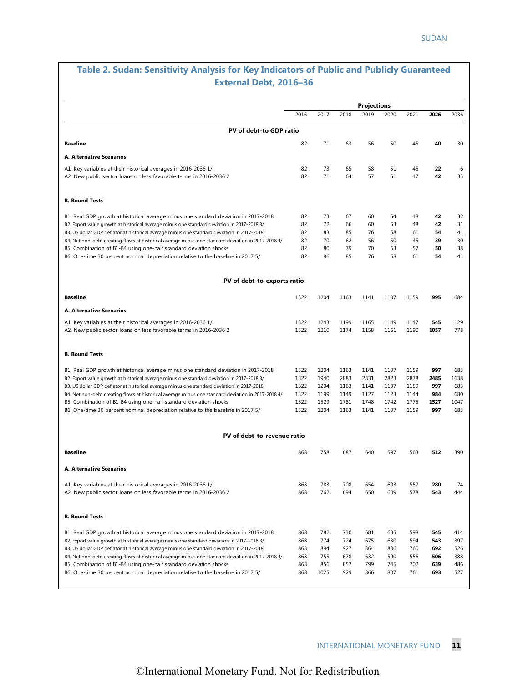### **Table 2. Sudan: Sensitivity Analysis for Key Indicators of Public and Publicly Guaranteed External Debt, 2016–36**

|                                                                                                                                      |            |            |            | <b>Projections</b> |            |            |            |           |
|--------------------------------------------------------------------------------------------------------------------------------------|------------|------------|------------|--------------------|------------|------------|------------|-----------|
|                                                                                                                                      | 2016       | 2017       | 2018       | 2019               | 2020       | 2021       | 2026       | 2036      |
| PV of debt-to GDP ratio                                                                                                              |            |            |            |                    |            |            |            |           |
| <b>Baseline</b>                                                                                                                      | 82         | 71         | 63         | 56                 | 50         | 45         | 40         | 30        |
| A. Alternative Scenarios                                                                                                             |            |            |            |                    |            |            |            |           |
| A1. Key variables at their historical averages in 2016-2036 1/<br>A2. New public sector loans on less favorable terms in 2016-2036 2 | 82<br>82   | 73<br>71   | 65<br>64   | 58<br>57           | 51<br>51   | 45<br>47   | 22<br>42   | 6<br>35   |
| <b>B. Bound Tests</b>                                                                                                                |            |            |            |                    |            |            |            |           |
| B1. Real GDP growth at historical average minus one standard deviation in 2017-2018                                                  | 82         | 73         | 67         | 60                 | 54         | 48         | 42         | 32        |
| B2. Export value growth at historical average minus one standard deviation in 2017-2018 3/                                           | 82         | 72         | 66         | 60                 | 53         | 48         | 42         | 31        |
| B3. US dollar GDP deflator at historical average minus one standard deviation in 2017-2018                                           | 82         | 83         | 85         | 76                 | 68         | 61         | 54         | 41        |
| B4. Net non-debt creating flows at historical average minus one standard deviation in 2017-2018 4/                                   | 82         | 70         | 62         | 56                 | 50         | 45         | 39         | 30        |
| B5. Combination of B1-B4 using one-half standard deviation shocks                                                                    | 82         | 80         | 79         | 70                 | 63         | 57         | 50         | 38        |
| B6. One-time 30 percent nominal depreciation relative to the baseline in 2017 5/                                                     | 82         | 96         | 85         | 76                 | 68         | 61         | 54         | 41        |
| PV of debt-to-exports ratio                                                                                                          |            |            |            |                    |            |            |            |           |
| <b>Baseline</b>                                                                                                                      | 1322       | 1204       | 1163       | 1141               | 1137       | 1159       | 995        | 684       |
| A. Alternative Scenarios                                                                                                             |            |            |            |                    |            |            |            |           |
| A1. Key variables at their historical averages in 2016-2036 1/                                                                       | 1322       | 1243       | 1199       | 1165               | 1149       | 1147       | 545        | 129       |
| A2. New public sector loans on less favorable terms in 2016-2036 2                                                                   | 1322       | 1210       | 1174       | 1158               | 1161       | 1190       | 1057       | 778       |
| <b>B. Bound Tests</b>                                                                                                                |            |            |            |                    |            |            |            |           |
| B1. Real GDP growth at historical average minus one standard deviation in 2017-2018                                                  | 1322       | 1204       | 1163       | 1141               | 1137       | 1159       | 997        | 683       |
| B2. Export value growth at historical average minus one standard deviation in 2017-2018 3/                                           | 1322       | 1940       | 2883       | 2831               | 2823       | 2878       | 2485       | 1638      |
| B3. US dollar GDP deflator at historical average minus one standard deviation in 2017-2018                                           | 1322       | 1204       | 1163       | 1141               | 1137       | 1159       | 997        | 683       |
| B4. Net non-debt creating flows at historical average minus one standard deviation in 2017-2018 4/                                   | 1322       | 1199       | 1149       | 1127               | 1123       | 1144       | 984        | 680       |
| B5. Combination of B1-B4 using one-half standard deviation shocks                                                                    | 1322       | 1529       | 1781       | 1748               | 1742       | 1775       | 1527       | 1047      |
| B6. One-time 30 percent nominal depreciation relative to the baseline in 2017 5/                                                     | 1322       | 1204       | 1163       | 1141               | 1137       | 1159       | 997        | 683       |
| PV of debt-to-revenue ratio                                                                                                          |            |            |            |                    |            |            |            |           |
| <b>Baseline</b>                                                                                                                      | 868        | 758        | 687        | 640                | 597        | 563        | 512        | 390       |
| A. Alternative Scenarios                                                                                                             |            |            |            |                    |            |            |            |           |
|                                                                                                                                      |            |            |            |                    |            |            |            |           |
| A1. Key variables at their historical averages in 2016-2036 1/<br>A2. New public sector loans on less favorable terms in 2016-2036 2 | 868<br>868 | 783<br>762 | 708<br>694 | 654<br>650         | 603<br>609 | 557<br>578 | 280<br>543 | 74<br>444 |
| <b>B. Bound Tests</b>                                                                                                                |            |            |            |                    |            |            |            |           |
| B1. Real GDP growth at historical average minus one standard deviation in 2017-2018                                                  | 868        | 782        | 730        | 681                | 635        | 598        | 545        | 414       |
| B2. Export value growth at historical average minus one standard deviation in 2017-2018 3/                                           | 868        | 774        | 724        | 675                | 630        | 594        | 543        | 397       |
| B3. US dollar GDP deflator at historical average minus one standard deviation in 2017-2018                                           | 868        | 894        | 927        | 864                | 806        | 760        | 692        | 526       |
| B4. Net non-debt creating flows at historical average minus one standard deviation in 2017-2018 4/                                   | 868        | 755        | 678        | 632                | 590        | 556        | 506        | 388       |
| B5. Combination of B1-B4 using one-half standard deviation shocks                                                                    | 868        | 856        | 857        | 799                | 745        | 702        | 639        | 486       |
| B6. One-time 30 percent nominal depreciation relative to the baseline in 2017 5/                                                     | 868        | 1025       | 929        | 866                | 807        | 761        | 693        | 527       |
|                                                                                                                                      |            |            |            |                    |            |            |            |           |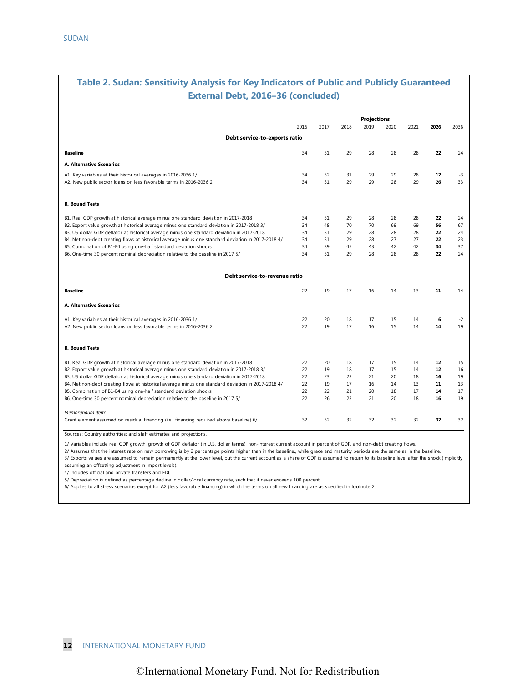### **Table 2. Sudan: Sensitivity Analysis for Key Indicators of Public and Publicly Guaranteed External Debt, 2016–36 (concluded)**

| 2017<br>2018<br>31<br>29<br>32<br>31<br>31<br>29<br>31<br>29<br>48<br>70<br>31<br>29<br>31<br>29<br>39<br>45<br>31<br>29 | <b>Projections</b><br>2019<br>28<br>29<br>29<br>28<br>70<br>28<br>28<br>43<br>28 | 2020<br>28<br>29<br>28<br>28<br>69<br>28<br>27<br>42           | 2021<br>28<br>28<br>29<br>28<br>69<br>28<br>27<br>42 | 2026<br>22<br>12<br>26<br>22<br>56<br>22<br>22 | 2036<br>24<br>$-3$<br>33<br>24<br>67<br>24 |
|--------------------------------------------------------------------------------------------------------------------------|----------------------------------------------------------------------------------|----------------------------------------------------------------|------------------------------------------------------|------------------------------------------------|--------------------------------------------|
|                                                                                                                          |                                                                                  |                                                                |                                                      |                                                |                                            |
|                                                                                                                          |                                                                                  |                                                                |                                                      |                                                |                                            |
|                                                                                                                          |                                                                                  |                                                                |                                                      |                                                |                                            |
|                                                                                                                          |                                                                                  |                                                                |                                                      |                                                |                                            |
|                                                                                                                          |                                                                                  |                                                                |                                                      |                                                |                                            |
|                                                                                                                          |                                                                                  |                                                                |                                                      |                                                |                                            |
|                                                                                                                          |                                                                                  |                                                                |                                                      |                                                |                                            |
|                                                                                                                          |                                                                                  |                                                                |                                                      |                                                |                                            |
|                                                                                                                          |                                                                                  |                                                                |                                                      |                                                |                                            |
|                                                                                                                          |                                                                                  |                                                                |                                                      |                                                |                                            |
|                                                                                                                          |                                                                                  |                                                                |                                                      |                                                | 23                                         |
|                                                                                                                          |                                                                                  |                                                                |                                                      | 34                                             | 37                                         |
|                                                                                                                          |                                                                                  | 28                                                             | 28                                                   | 22                                             | 24                                         |
|                                                                                                                          |                                                                                  |                                                                |                                                      |                                                |                                            |
| 19                                                                                                                       | 16                                                                               | 14                                                             | 13                                                   | 11                                             | 14                                         |
|                                                                                                                          |                                                                                  |                                                                |                                                      |                                                |                                            |
| 20                                                                                                                       | 17                                                                               | 15                                                             | 14                                                   | 6                                              | $-2$                                       |
| 19                                                                                                                       | 16                                                                               | 15                                                             | 14                                                   | 14                                             | 19                                         |
|                                                                                                                          |                                                                                  |                                                                |                                                      |                                                |                                            |
| 20                                                                                                                       | 17                                                                               | 15                                                             | 14                                                   | 12                                             | 15                                         |
| 19                                                                                                                       | 17                                                                               | 15                                                             | 14                                                   | $12 \overline{ }$                              | 16                                         |
| 23                                                                                                                       | 21                                                                               | 20                                                             | 18                                                   | 16                                             | 19                                         |
| 19                                                                                                                       | 16                                                                               | 14                                                             | 13                                                   | 11                                             | 13                                         |
| 22                                                                                                                       | 20                                                                               | 18                                                             | 17                                                   | 14                                             | 17                                         |
| 26                                                                                                                       | 21                                                                               | 20                                                             | 18                                                   | 16                                             | 19                                         |
|                                                                                                                          |                                                                                  |                                                                |                                                      |                                                | 32                                         |
|                                                                                                                          | 32                                                                               | 17<br>18<br>17<br>18<br>18<br>23<br>17<br>21<br>23<br>32<br>32 | 32                                                   | 32                                             | 32                                         |

Sources: Country authorities; and staff estimates and projections.

1/ Variables include real GDP growth, growth of GDP deflator (in U.S. dollar terms), non-interest current account in percent of GDP, and non-debt creating flows.

2/ Assumes that the interest rate on new borrowing is by 2 percentage points higher than in the baseline., while grace and maturity periods are the same as in the baseline.

3/ Exports values are assumed to remain permanently at the lower level, but the current account as a share of GDP is assumed to return to its baseline level after the shock (implicitly assuming an offsetting adjustment in import levels).

4/ Includes official and private transfers and FDI.

5/ Depreciation is defined as percentage decline in dollar/local currency rate, such that it never exceeds 100 percent.

6/ Applies to all stress scenarios except for A2 (less favorable financing) in which the terms on all new financing are as specified in footnote 2.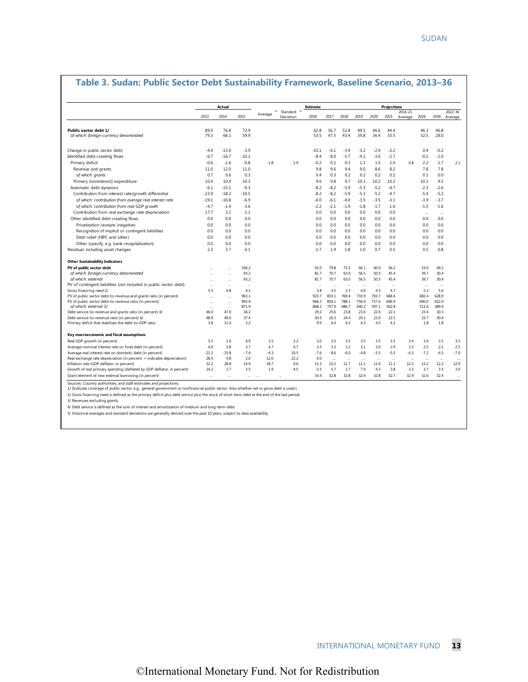|                                                                                                                                                                                                                |              | Actual       |              |             |                             | <b>Estimate</b> |               |                      |               |               | <b>Projections</b> |                      |                      |                      |                    |
|----------------------------------------------------------------------------------------------------------------------------------------------------------------------------------------------------------------|--------------|--------------|--------------|-------------|-----------------------------|-----------------|---------------|----------------------|---------------|---------------|--------------------|----------------------|----------------------|----------------------|--------------------|
|                                                                                                                                                                                                                | 2013         | 2014         | 2015         | Average     | 5/ Standard 5/<br>Deviation | 2016            | 2017          | 2018                 | 2019          | 2020          | 2021               | 2016-21<br>Average   | 2026                 | 2036                 | 2022-36<br>Average |
| Public sector debt 1/                                                                                                                                                                                          | 89.9         | 76.8         | 72.9         |             |                             | 62.8            | 56.7          | 52.8                 | 49.5          | 46.6          | 44.4               |                      | 46.3                 | 46.8                 |                    |
| of which: foreign-currency denominated                                                                                                                                                                         | 79.3         | 66.1         | 59.9         |             |                             | 53.5            | 47.5          | 43.4                 | 39.8          | 36.4          | 33.5               |                      | 32.5                 | 28.0                 |                    |
| Change in public sector debt                                                                                                                                                                                   | $-4.4$       | $-13.0$      | $-3.9$       |             |                             | $-10.1$         | $-6.1$        | $-3.9$               | $-3.2$        | $-2.9$        | $-2.2$             |                      | 0.4                  | $-0.2$               |                    |
| Identified debt-creating flows                                                                                                                                                                                 | $-6.7$       | $-16.7$      | $-10.1$      |             |                             | $-8.4$          | $-8.0$        | $-5.7$               | $-4.2$        | $-3.6$        | $-2.7$             |                      | $-0.1$               | $-1.0$               |                    |
| Primary deficit                                                                                                                                                                                                | $-0.6$       | $-1.6$       | $-0.8$       | $-1.8$      | 1.9                         | $-0.2$          | 0.2           | 0.3                  | 1.1           | 1.5           | 2.0                | 0.8                  | 2.2                  | 1.7                  | 2.1                |
| Revenue and grants                                                                                                                                                                                             | 11.0         | 12.0         | 11.0         |             |                             | 9.8             | 9.6           | 9.4                  | 9.0           | 8.6           | 8.2                |                      | 7.8                  | 7.8                  |                    |
| of which: grants                                                                                                                                                                                               | 0.7          | 0.6          | 0.3          |             |                             | 0.4             | 0.3           | 0.2                  | 0.2           | 0.2           | 0.1                |                      | 0.1                  | 0.0                  |                    |
| Primary (noninterest) expenditure                                                                                                                                                                              | 10.4         | 10.4         | 10.3         |             |                             | 9.6             | 9.8           | 9.7                  | 10.1          | 10.2          | 10.2               |                      | 10.1                 | 9.5                  |                    |
| Automatic debt dynamics                                                                                                                                                                                        | $-6.1$       | $-15.1$      | $-9.3$       |             |                             | $-8.2$          | $-8.2$        | $-5.9$               | $-5.3$        | $-5.2$        | $-4.7$             |                      | $-2.3$               | $-2.6$               |                    |
| Contribution from interest rate/growth differential                                                                                                                                                            | $-23.9$      | $-18.2$      | $-10.5$      |             |                             | $-8.2$          | $-8.2$        | $-5.9$               | $-5.3$        | $-5.2$        | $-4.7$             |                      | $-5.4$               | $-5.2$               |                    |
| of which: contribution from average real interest rate                                                                                                                                                         | $-19.1$      | $-16.8$      | $-6.9$       |             |                             | $-6.0$          | $-6.1$        | $-4.0$               | $-3.5$        | $-3.5$        | $-3.1$             |                      | $-3.9$               | $-3.7$               |                    |
| of which: contribution from real GDP growth                                                                                                                                                                    | $-4.7$       | $-1.4$       | $-3.6$       |             |                             | $-2.2$          | $-2.1$        | $-1.9$               | $-1.8$        | $-1.7$        | $-1.6$             |                      | $-1.5$               | $-1.6$               |                    |
| Contribution from real exchange rate depreciation                                                                                                                                                              | 17.7         | 3.1          | 1.1          |             |                             | 0.0             | 0.0           | 0.0                  | 0.0           | 0.0           | 0.0                |                      | $\ddotsc$            | $\ddotsc$            |                    |
| Other identified debt-creating flows                                                                                                                                                                           | 0.0          | 0.0          | 0.0          |             |                             | 0.0             | 0.0           | 0.0                  | 0.0           | 0.0           | 0.0                |                      | 0.0                  | 0.0                  |                    |
| Privatization receipts (negative)                                                                                                                                                                              | 0.0          | 0.0          | 0.0          |             |                             | 0.0             | 0.0           | 0.0                  | 0.0           | 0.0           | 0.0                |                      | 0.0                  | 0.0                  |                    |
| Recognition of implicit or contingent liabilities                                                                                                                                                              | 0.0          | 0.0          | 0.0          |             |                             | 0.0             | 0.0           | 0.0                  | 0.0           | 0.0           | 0.0                |                      | 0.0                  | 0.0                  |                    |
| Debt relief (HIPC and other)                                                                                                                                                                                   | 0.0          | 0.0          | 0.0          |             |                             | 0.0             | 0.0           | 0.0                  | 0.0           | 0.0           | 0.0                |                      | 0.0                  | 0.0                  |                    |
| Other (specify, e.g. bank recapitalization)                                                                                                                                                                    | 0.0          | 0.0          | 0.0          |             |                             | 0.0             | 0.0           | 0.0                  | 0.0           | 0.0           | 0.0                |                      | 0.0                  | 0.0                  |                    |
| Residual, including asset changes                                                                                                                                                                              | 2.3          | 3.7          | 6.1          |             |                             | $-1.7$          | 1.9           | 1.8                  | 1.0           | 0.7           | 0.5                |                      | 0.5                  | 0.8                  |                    |
| <b>Other Sustainability Indicators</b>                                                                                                                                                                         |              |              |              |             |                             |                 |               |                      |               |               |                    |                      |                      |                      |                    |
| PV of public sector debt                                                                                                                                                                                       |              |              | 106.2        |             |                             | 91.0            | 79.8          | 72.3                 | 66.1          | 60.6          | 56.2               |                      | 53.6                 | 49.2                 |                    |
| of which: foreign-currency denominated<br>of which: external                                                                                                                                                   |              | <br>         | 93.2<br>93.2 |             |                             | 81.7<br>81.7    | 70.7<br>70.7  | 63.0<br>63.0         | 56.5<br>56.5  | 50.5<br>50.5  | 45.4<br>45.4       |                      | 39.7<br>39.7         | 30.4<br>30.4         |                    |
| PV of contingent liabilities (not included in public sector debt)                                                                                                                                              | $\ddotsc$    |              | $\ddotsc$    |             |                             | $\ddotsc$       | $\ddotsc$     | $\ddotsc$            | $\cdots$      | $\ddotsc$     | $\cdots$           |                      | $\ddotsc$            | $\ddot{\phantom{a}}$ |                    |
| Gross financing need 2/                                                                                                                                                                                        | 5.3          | 4.8          | 4.1          |             |                             | 3.8             | 3.5           | 3.3                  | 4.0           | 4.3           | 4.7                |                      | 5.2                  | 5.6                  |                    |
| PV of public sector debt-to-revenue and grants ratio (in percent)                                                                                                                                              | $\ddotsc$    | $\ddotsc$    | 963.1        |             |                             | 923.7           | 833.1         | 769.4                | 733.9         | 703.7         | 684.6              |                      | 682.4                | 628.9                |                    |
| PV of public sector debt-to-revenue ratio (in percent)                                                                                                                                                         | $\ddotsc$    | $\cdots$     | 993.9        |             |                             | 966.3           | 856.1         | 788.1                | 750.0         | 717.6         | 696.9              |                      | 690.0                | 632.0                |                    |
| of which: external 3/                                                                                                                                                                                          | 46.0         | $\ddotsc$    | 871.9        |             |                             | 868.2<br>29.2   | 757.9<br>25.6 | 686.7<br>23.8        | 640.2<br>23.6 | 597.1<br>22.6 | 562.8<br>22.1      |                      | 511.6<br>23.4        | 389.9<br>30.3        |                    |
| Debt service-to-revenue and grants ratio (in percent) 4/<br>Debt service-to-revenue ratio (in percent) 4/                                                                                                      | 48.9         | 47.0<br>49.6 | 36.2<br>37.4 |             |                             | 30.5            | 26.3          | 24.4                 | 24.1          | 23.0          | 22.5               |                      | 23.7                 | 30.4                 |                    |
| Primary deficit that stabilizes the debt-to-GDP ratio                                                                                                                                                          | 3.8          | 11.4         | 3.2          |             |                             | 9.9             | 6.4           | 4.2                  | 4.3           | 4.5           | 4.2                |                      | 1.8                  | 1.8                  |                    |
| Key macroeconomic and fiscal assumptions                                                                                                                                                                       |              |              |              |             |                             |                 |               |                      |               |               |                    |                      |                      |                      |                    |
| Real GDP growth (in percent)                                                                                                                                                                                   | 5.3          | 1.6          | 4.9          | 3.5         | 3.2                         | 3.0             | 3.5           | 3.5                  | 3.5           | 3.5           | 3.5                | 3.4                  | 3.4                  | 3.5                  | 3.5                |
| Average nominal interest rate on forex debt (in percent)                                                                                                                                                       | 4.0          | 3.8          | 3.7          | 4.7         | 0.7                         | 3.5             | 3.3           | 3.2                  | 3.1           | 3.0           | 2.9                | 3.2                  | 2.5                  | 2.1                  | 2.5                |
| Average real interest rate on domestic debt (in percent)                                                                                                                                                       | $-21.3$      | $-15.8$      | $-7.4$       | $-4.3$      | 10.5                        | $-7.6$          | $-8.6$        | $-6.0$               | $-4.8$        | $-5.5$        | $-5.5$             | $-6.3$               | $-7.2$               | $-6.5$               | $-7.0$             |
| Real exchange rate depreciation (in percent, + indicates depreciation)                                                                                                                                         | 28.9         | 4.8          | 2.0          | 12.0        | 22.2                        | 0.0             | $\ddotsc$     | $\ddot{\phantom{a}}$ |               | $\ddotsc$     | $\ddotsc$          | $\ddot{\phantom{a}}$ | $\ddot{\phantom{a}}$ | u.                   | $\ddotsc$          |
| Inflation rate (GDP deflator, in percent)                                                                                                                                                                      | 32.2<br>14.2 | 28.8<br>1.7  | 14.9<br>3.5  | 18.7<br>1.9 | 9.0<br>4.5                  | 13.3<br>$-3.5$  | 15.2          | 11.7                 | 11.1          | 11.6          | 11.1<br>3.8        | 12.3                 | 13.2                 | 12.2<br>3.5          | 12.9<br>3.0        |
| Growth of real primary spending (deflated by GDP deflator, in percent)                                                                                                                                         |              |              |              |             |                             |                 | 5.7           | 1.7                  | 7.9           | 4.3           | 32.7               | 3.3                  | 3.7                  |                      |                    |
| Grant element of new external borrowing (in percent)                                                                                                                                                           | $\sim$       | $\ddotsc$    | $\ddotsc$    |             | Ω,                          | 33.4            | 32.8          | 32.8                 | 32.9          | 32.8          |                    | 32.9                 | 32.6                 | 32.4                 | $\ddotsc$          |
| Sources: Country authorities; and staff estimates and projections.<br>1/ [Indicate coverage of public sector, e.g., general government or nonfinancial public sector. Also whether net or gross debt is used.] |              |              |              |             |                             |                 |               |                      |               |               |                    |                      |                      |                      |                    |
| 2/ Gross financing need is defined as the primary deficit plus debt service plus the stock of short-term debt at the end of the last period.                                                                   |              |              |              |             |                             |                 |               |                      |               |               |                    |                      |                      |                      |                    |
| 3/ Revenues excluding grants.                                                                                                                                                                                  |              |              |              |             |                             |                 |               |                      |               |               |                    |                      |                      |                      |                    |

#### **Table 3. Sudan: Public Sector Debt Sustainability Framework, Baseline Scenario, 2013–36**